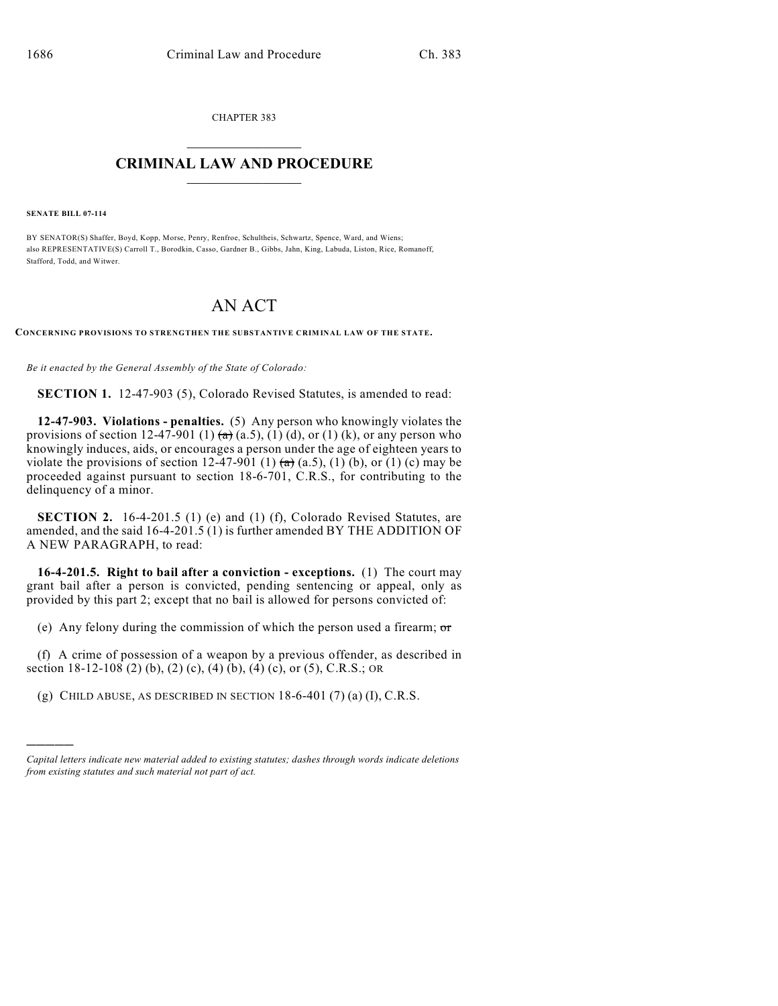CHAPTER 383  $\mathcal{L}_\text{max}$  . The set of the set of the set of the set of the set of the set of the set of the set of the set of the set of the set of the set of the set of the set of the set of the set of the set of the set of the set

## **CRIMINAL LAW AND PROCEDURE**  $\frac{1}{2}$  ,  $\frac{1}{2}$  ,  $\frac{1}{2}$  ,  $\frac{1}{2}$  ,  $\frac{1}{2}$  ,  $\frac{1}{2}$  ,  $\frac{1}{2}$

**SENATE BILL 07-114**

)))))

BY SENATOR(S) Shaffer, Boyd, Kopp, Morse, Penry, Renfroe, Schultheis, Schwartz, Spence, Ward, and Wiens; also REPRESENTATIVE(S) Carroll T., Borodkin, Casso, Gardner B., Gibbs, Jahn, King, Labuda, Liston, Rice, Romanoff, Stafford, Todd, and Witwer.

## AN ACT

**CONCERNING PROVISIONS TO STRENGTHEN THE SUBSTANTIVE CRIMINAL LAW OF THE STATE.**

*Be it enacted by the General Assembly of the State of Colorado:*

**SECTION 1.** 12-47-903 (5), Colorado Revised Statutes, is amended to read:

**12-47-903. Violations - penalties.** (5) Any person who knowingly violates the provisions of section 12-47-901 (1)  $\left(\frac{a}{b}\right)$  (a.5), (1) (d), or (1) (k), or any person who knowingly induces, aids, or encourages a person under the age of eighteen years to violate the provisions of section 12-47-901 (1)  $\overline{a}$  (a.5), (1) (b), or (1) (c) may be proceeded against pursuant to section 18-6-701, C.R.S., for contributing to the delinquency of a minor.

**SECTION 2.** 16-4-201.5 (1) (e) and (1) (f), Colorado Revised Statutes, are amended, and the said 16-4-201.5 (1) is further amended BY THE ADDITION OF A NEW PARAGRAPH, to read:

**16-4-201.5. Right to bail after a conviction - exceptions.** (1) The court may grant bail after a person is convicted, pending sentencing or appeal, only as provided by this part 2; except that no bail is allowed for persons convicted of:

(e) Any felony during the commission of which the person used a firearm;  $\sigma$ 

(f) A crime of possession of a weapon by a previous offender, as described in section 18-12-108 (2) (b), (2) (c), (4) (b), (4) (c), or (5), C.R.S.; OR

(g) CHILD ABUSE, AS DESCRIBED IN SECTION  $18-6-401$  (7) (a) (I), C.R.S.

*Capital letters indicate new material added to existing statutes; dashes through words indicate deletions from existing statutes and such material not part of act.*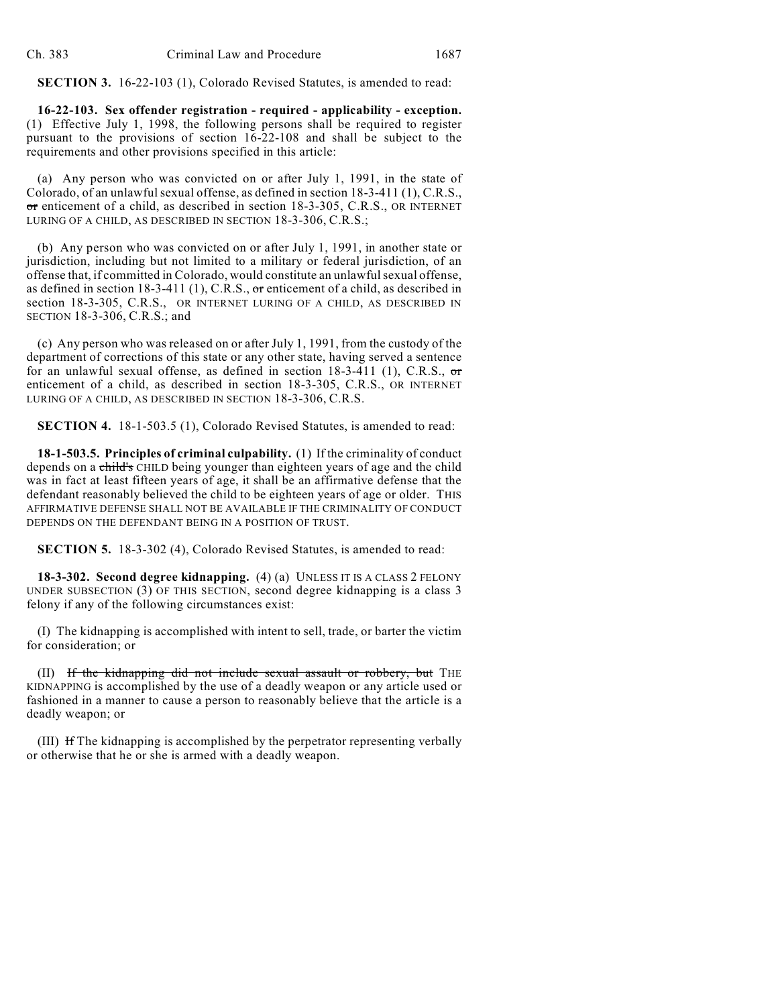**SECTION 3.** 16-22-103 (1), Colorado Revised Statutes, is amended to read:

**16-22-103. Sex offender registration - required - applicability - exception.** (1) Effective July 1, 1998, the following persons shall be required to register pursuant to the provisions of section 16-22-108 and shall be subject to the requirements and other provisions specified in this article:

(a) Any person who was convicted on or after July 1, 1991, in the state of Colorado, of an unlawful sexual offense, as defined in section 18-3-411 (1), C.R.S., or enticement of a child, as described in section 18-3-305, C.R.S., OR INTERNET LURING OF A CHILD, AS DESCRIBED IN SECTION 18-3-306, C.R.S.;

(b) Any person who was convicted on or after July 1, 1991, in another state or jurisdiction, including but not limited to a military or federal jurisdiction, of an offense that, if committed in Colorado, would constitute an unlawful sexual offense, as defined in section  $18-3-411$  (1), C.R.S., or enticement of a child, as described in section 18-3-305, C.R.S., OR INTERNET LURING OF A CHILD, AS DESCRIBED IN SECTION 18-3-306, C.R.S.; and

(c) Any person who was released on or after July 1, 1991, from the custody of the department of corrections of this state or any other state, having served a sentence for an unlawful sexual offense, as defined in section  $18-3-411$  (1), C.R.S., or enticement of a child, as described in section 18-3-305, C.R.S., OR INTERNET LURING OF A CHILD, AS DESCRIBED IN SECTION 18-3-306, C.R.S.

**SECTION 4.** 18-1-503.5 (1), Colorado Revised Statutes, is amended to read:

**18-1-503.5. Principles of criminal culpability.** (1) If the criminality of conduct depends on a child's CHILD being younger than eighteen years of age and the child was in fact at least fifteen years of age, it shall be an affirmative defense that the defendant reasonably believed the child to be eighteen years of age or older. THIS AFFIRMATIVE DEFENSE SHALL NOT BE AVAILABLE IF THE CRIMINALITY OF CONDUCT DEPENDS ON THE DEFENDANT BEING IN A POSITION OF TRUST.

**SECTION 5.** 18-3-302 (4), Colorado Revised Statutes, is amended to read:

**18-3-302. Second degree kidnapping.** (4) (a) UNLESS IT IS A CLASS 2 FELONY UNDER SUBSECTION (3) OF THIS SECTION, second degree kidnapping is a class 3 felony if any of the following circumstances exist:

(I) The kidnapping is accomplished with intent to sell, trade, or barter the victim for consideration; or

(II) If the kidnapping did not include sexual assault or robbery, but THE KIDNAPPING is accomplished by the use of a deadly weapon or any article used or fashioned in a manner to cause a person to reasonably believe that the article is a deadly weapon; or

(III) If The kidnapping is accomplished by the perpetrator representing verbally or otherwise that he or she is armed with a deadly weapon.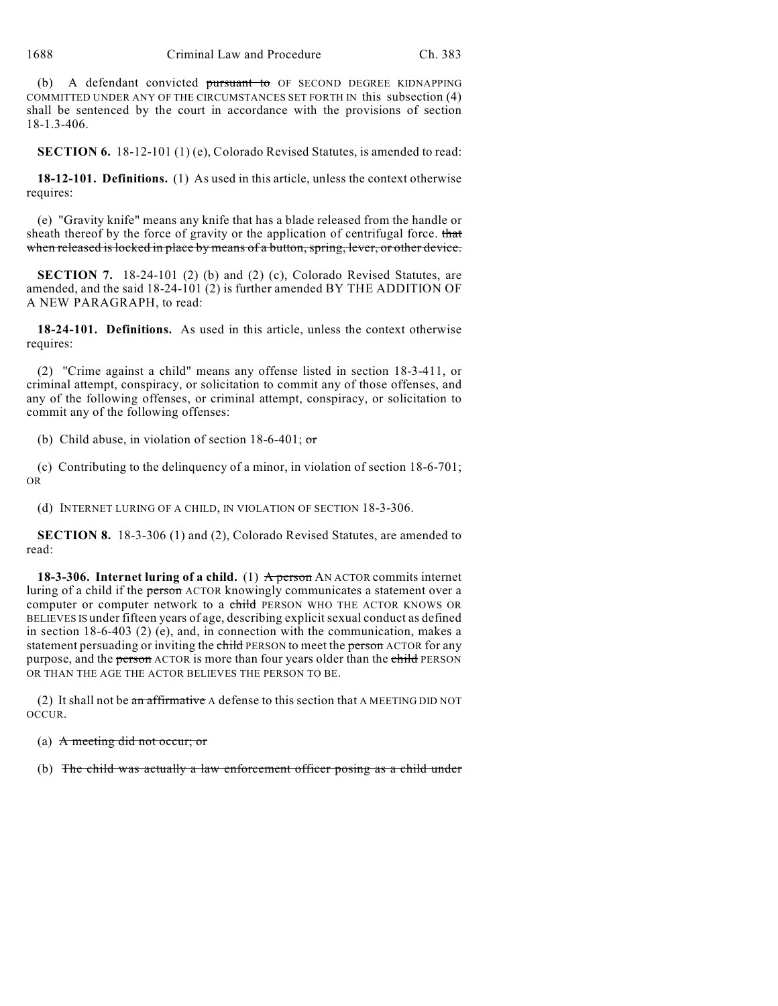(b) A defendant convicted pursuant to OF SECOND DEGREE KIDNAPPING COMMITTED UNDER ANY OF THE CIRCUMSTANCES SET FORTH IN this subsection (4) shall be sentenced by the court in accordance with the provisions of section 18-1.3-406.

**SECTION 6.** 18-12-101 (1) (e), Colorado Revised Statutes, is amended to read:

**18-12-101. Definitions.** (1) As used in this article, unless the context otherwise requires:

(e) "Gravity knife" means any knife that has a blade released from the handle or sheath thereof by the force of gravity or the application of centrifugal force. that when released is locked in place by means of a button, spring, lever, or other device.

**SECTION 7.** 18-24-101 (2) (b) and (2) (c), Colorado Revised Statutes, are amended, and the said 18-24-101 (2) is further amended BY THE ADDITION OF A NEW PARAGRAPH, to read:

**18-24-101. Definitions.** As used in this article, unless the context otherwise requires:

(2) "Crime against a child" means any offense listed in section 18-3-411, or criminal attempt, conspiracy, or solicitation to commit any of those offenses, and any of the following offenses, or criminal attempt, conspiracy, or solicitation to commit any of the following offenses:

(b) Child abuse, in violation of section  $18-6-401$ ; or

(c) Contributing to the delinquency of a minor, in violation of section 18-6-701; OR

(d) INTERNET LURING OF A CHILD, IN VIOLATION OF SECTION 18-3-306.

**SECTION 8.** 18-3-306 (1) and (2), Colorado Revised Statutes, are amended to read:

**18-3-306. Internet luring of a child.** (1)  $\overrightarrow{A}$  person AN ACTOR commits internet luring of a child if the person ACTOR knowingly communicates a statement over a computer or computer network to a child PERSON WHO THE ACTOR KNOWS OR BELIEVES IS under fifteen years of age, describing explicit sexual conduct as defined in section 18-6-403 (2) (e), and, in connection with the communication, makes a statement persuading or inviting the child PERSON to meet the person ACTOR for any purpose, and the person ACTOR is more than four years older than the child PERSON OR THAN THE AGE THE ACTOR BELIEVES THE PERSON TO BE.

(2) It shall not be an affirmative A defense to this section that A MEETING DID NOT OCCUR.

(a) A meeting did not occur; or

(b) The child was actually a law enforcement officer posing as a child under